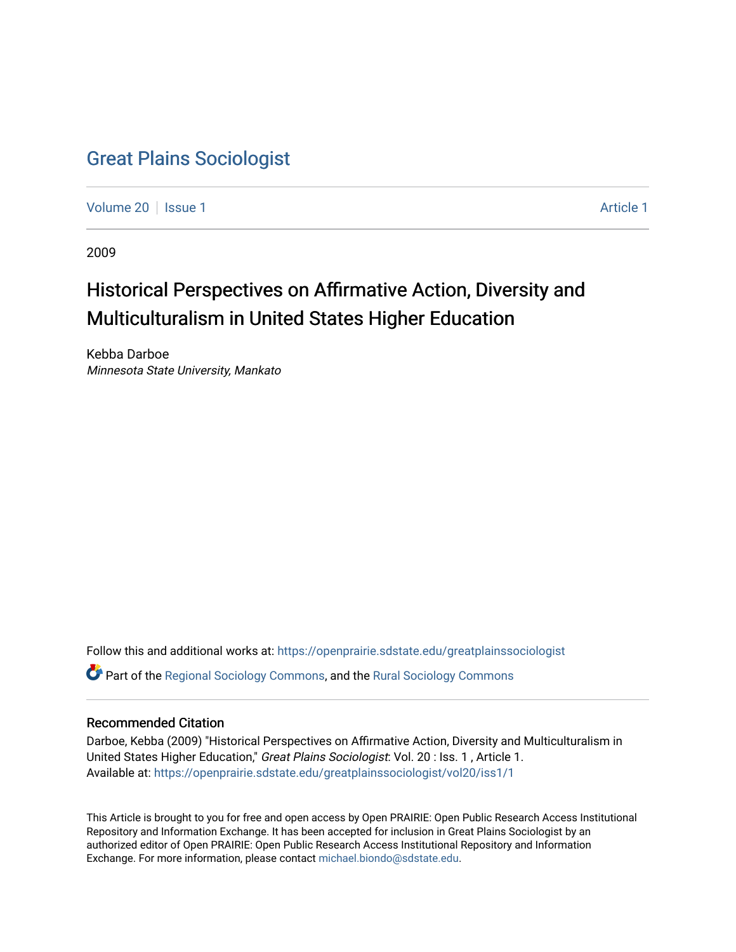### [Great Plains Sociologist](https://openprairie.sdstate.edu/greatplainssociologist)

[Volume 20](https://openprairie.sdstate.edu/greatplainssociologist/vol20) | [Issue 1](https://openprairie.sdstate.edu/greatplainssociologist/vol20/iss1) [Article 1](https://openprairie.sdstate.edu/greatplainssociologist/vol20/iss1/1) Article 1 Article 1 Article 1 Article 1 Article 1 Article 1 Article 1

2009

## Historical Perspectives on Affirmative Action, Diversity and Multiculturalism in United States Higher Education

Kebba Darboe Minnesota State University, Mankato

Follow this and additional works at: [https://openprairie.sdstate.edu/greatplainssociologist](https://openprairie.sdstate.edu/greatplainssociologist?utm_source=openprairie.sdstate.edu%2Fgreatplainssociologist%2Fvol20%2Fiss1%2F1&utm_medium=PDF&utm_campaign=PDFCoverPages)  Part of the [Regional Sociology Commons](http://network.bepress.com/hgg/discipline/427?utm_source=openprairie.sdstate.edu%2Fgreatplainssociologist%2Fvol20%2Fiss1%2F1&utm_medium=PDF&utm_campaign=PDFCoverPages), and the [Rural Sociology Commons](http://network.bepress.com/hgg/discipline/428?utm_source=openprairie.sdstate.edu%2Fgreatplainssociologist%2Fvol20%2Fiss1%2F1&utm_medium=PDF&utm_campaign=PDFCoverPages) 

#### Recommended Citation

Darboe, Kebba (2009) "Historical Perspectives on Affirmative Action, Diversity and Multiculturalism in United States Higher Education," Great Plains Sociologist: Vol. 20: Iss. 1, Article 1. Available at: [https://openprairie.sdstate.edu/greatplainssociologist/vol20/iss1/1](https://openprairie.sdstate.edu/greatplainssociologist/vol20/iss1/1?utm_source=openprairie.sdstate.edu%2Fgreatplainssociologist%2Fvol20%2Fiss1%2F1&utm_medium=PDF&utm_campaign=PDFCoverPages)

This Article is brought to you for free and open access by Open PRAIRIE: Open Public Research Access Institutional Repository and Information Exchange. It has been accepted for inclusion in Great Plains Sociologist by an authorized editor of Open PRAIRIE: Open Public Research Access Institutional Repository and Information Exchange. For more information, please contact [michael.biondo@sdstate.edu.](mailto:michael.biondo@sdstate.edu)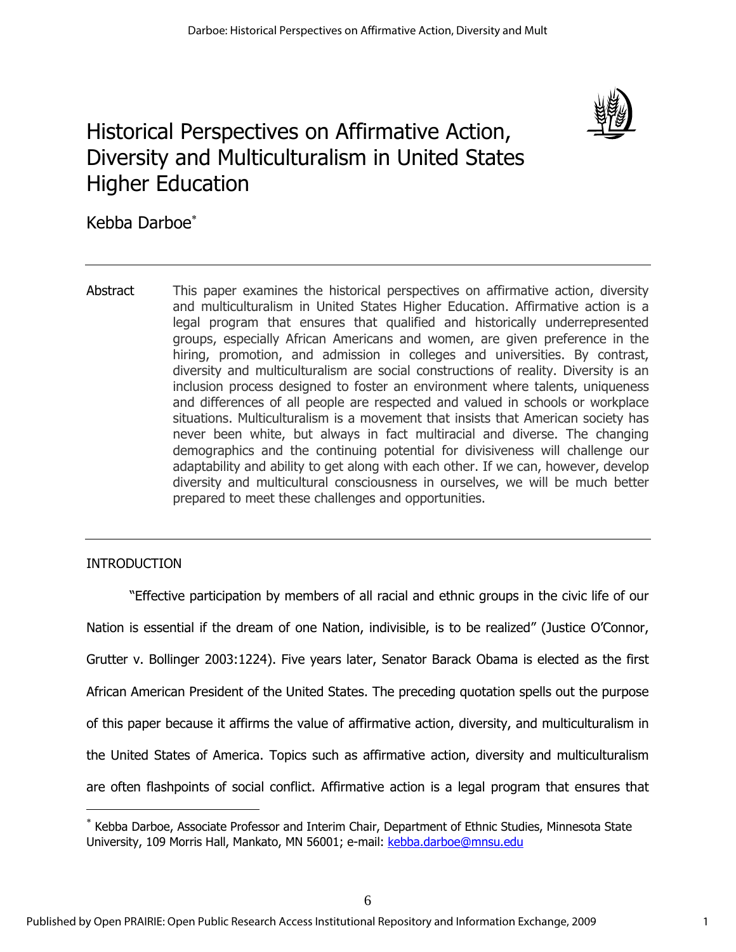

# Historical Perspectives on Affirmative Action, Diversity and Multiculturalism in United States Higher Education

Kebba Darboe<sup>\*</sup>

Abstract This paper examines the historical perspectives on affirmative action, diversity and multiculturalism in United States Higher Education. Affirmative action is a legal program that ensures that qualified and historically underrepresented groups, especially African Americans and women, are given preference in the hiring, promotion, and admission in colleges and universities. By contrast, diversity and multiculturalism are social constructions of reality. Diversity is an inclusion process designed to foster an environment where talents, uniqueness and differences of all people are respected and valued in schools or workplace situations. Multiculturalism is a movement that insists that American society has never been white, but always in fact multiracial and diverse. The changing demographics and the continuing potential for divisiveness will challenge our adaptability and ability to get along with each other. If we can, however, develop diversity and multicultural consciousness in ourselves, we will be much better prepared to meet these challenges and opportunities.

### **INTRODUCTION**

 $\overline{a}$ 

"Effective participation by members of all racial and ethnic groups in the civic life of our Nation is essential if the dream of one Nation, indivisible, is to be realized" (Justice O'Connor, Grutter v. Bollinger 2003:1224). Five years later, Senator Barack Obama is elected as the first African American President of the United States. The preceding quotation spells out the purpose of this paper because it affirms the value of affirmative action, diversity, and multiculturalism in the United States of America. Topics such as affirmative action, diversity and multiculturalism are often flashpoints of social conflict. Affirmative action is a legal program that ensures that

<sup>∗</sup> Kebba Darboe, Associate Professor and Interim Chair, Department of Ethnic Studies, Minnesota State University, 109 Morris Hall, Mankato, MN 56001; e-mail: kebba.darboe@mnsu.edu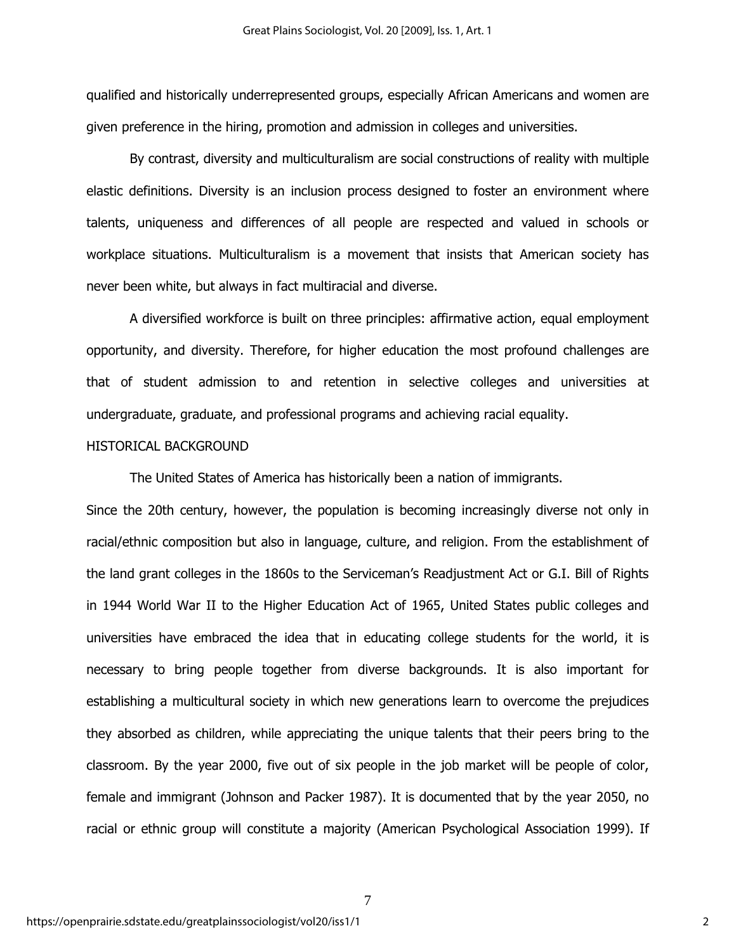qualified and historically underrepresented groups, especially African Americans and women are given preference in the hiring, promotion and admission in colleges and universities.

By contrast, diversity and multiculturalism are social constructions of reality with multiple elastic definitions. Diversity is an inclusion process designed to foster an environment where talents, uniqueness and differences of all people are respected and valued in schools or workplace situations. Multiculturalism is a movement that insists that American society has never been white, but always in fact multiracial and diverse.

A diversified workforce is built on three principles: affirmative action, equal employment opportunity, and diversity. Therefore, for higher education the most profound challenges are that of student admission to and retention in selective colleges and universities at undergraduate, graduate, and professional programs and achieving racial equality.

#### HISTORICAL BACKGROUND

The United States of America has historically been a nation of immigrants.

Since the 20th century, however, the population is becoming increasingly diverse not only in racial/ethnic composition but also in language, culture, and religion. From the establishment of the land grant colleges in the 1860s to the Serviceman's Readjustment Act or G.I. Bill of Rights in 1944 World War II to the Higher Education Act of 1965, United States public colleges and universities have embraced the idea that in educating college students for the world, it is necessary to bring people together from diverse backgrounds. It is also important for establishing a multicultural society in which new generations learn to overcome the prejudices they absorbed as children, while appreciating the unique talents that their peers bring to the classroom. By the year 2000, five out of six people in the job market will be people of color, female and immigrant (Johnson and Packer 1987). It is documented that by the year 2050, no racial or ethnic group will constitute a majority (American Psychological Association 1999). If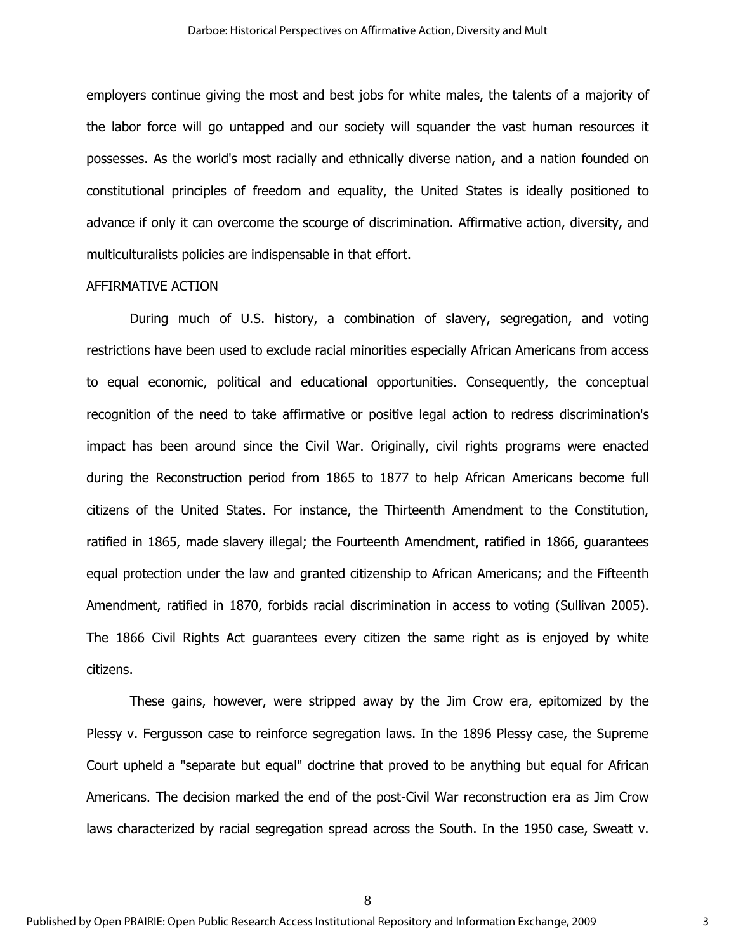employers continue giving the most and best jobs for white males, the talents of a majority of the labor force will go untapped and our society will squander the vast human resources it possesses. As the world's most racially and ethnically diverse nation, and a nation founded on constitutional principles of freedom and equality, the United States is ideally positioned to advance if only it can overcome the scourge of discrimination. Affirmative action, diversity, and multiculturalists policies are indispensable in that effort.

#### AFFIRMATIVE ACTION

During much of U.S. history, a combination of slavery, segregation, and voting restrictions have been used to exclude racial minorities especially African Americans from access to equal economic, political and educational opportunities. Consequently, the conceptual recognition of the need to take affirmative or positive legal action to redress discrimination's impact has been around since the Civil War. Originally, civil rights programs were enacted during the Reconstruction period from 1865 to 1877 to help African Americans become full citizens of the United States. For instance, the Thirteenth Amendment to the Constitution, ratified in 1865, made slavery illegal; the Fourteenth Amendment, ratified in 1866, guarantees equal protection under the law and granted citizenship to African Americans; and the Fifteenth Amendment, ratified in 1870, forbids racial discrimination in access to voting (Sullivan 2005). The 1866 Civil Rights Act guarantees every citizen the same right as is enjoyed by white citizens.

These gains, however, were stripped away by the Jim Crow era, epitomized by the Plessy v. Fergusson case to reinforce segregation laws. In the 1896 Plessy case, the Supreme Court upheld a "separate but equal" doctrine that proved to be anything but equal for African Americans. The decision marked the end of the post-Civil War reconstruction era as Jim Crow laws characterized by racial segregation spread across the South. In the 1950 case, Sweatt v.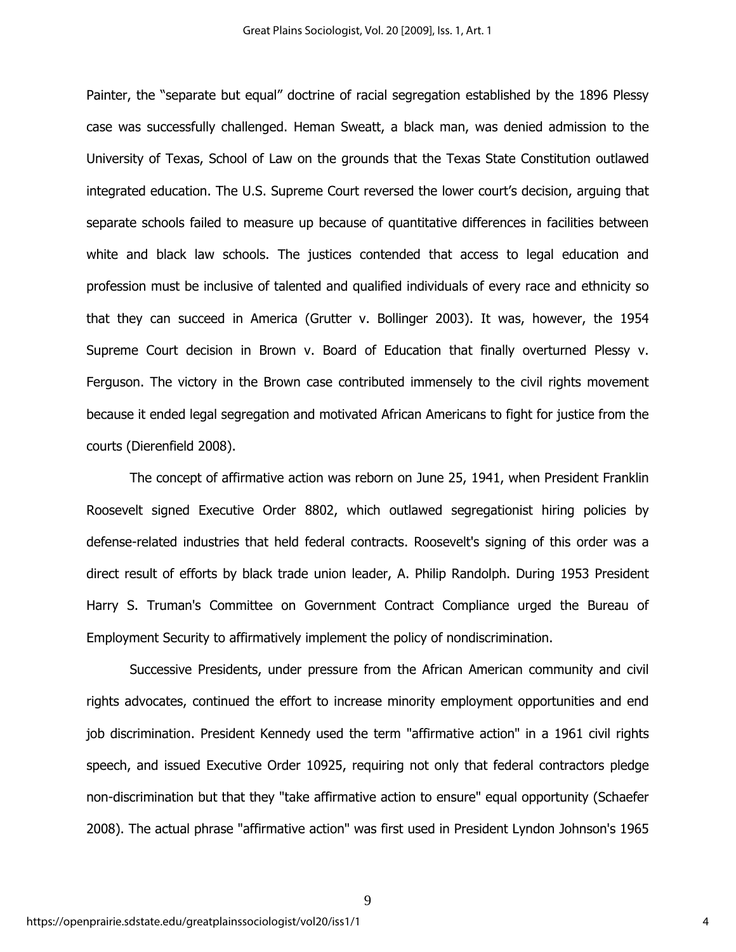Painter, the "separate but equal" doctrine of racial segregation established by the 1896 Plessy case was successfully challenged. Heman Sweatt, a black man, was denied admission to the University of Texas, School of Law on the grounds that the Texas State Constitution outlawed integrated education. The U.S. Supreme Court reversed the lower court's decision, arguing that separate schools failed to measure up because of quantitative differences in facilities between white and black law schools. The justices contended that access to legal education and profession must be inclusive of talented and qualified individuals of every race and ethnicity so that they can succeed in America (Grutter v. Bollinger 2003). It was, however, the 1954 Supreme Court decision in Brown v. Board of Education that finally overturned Plessy v. Ferguson. The victory in the Brown case contributed immensely to the civil rights movement because it ended legal segregation and motivated African Americans to fight for justice from the courts (Dierenfield 2008).

The concept of affirmative action was reborn on June 25, 1941, when President Franklin Roosevelt signed Executive Order 8802, which outlawed segregationist hiring policies by defense-related industries that held federal contracts. Roosevelt's signing of this order was a direct result of efforts by black trade union leader, A. Philip Randolph. During 1953 President Harry S. Truman's Committee on Government Contract Compliance urged the Bureau of Employment Security to affirmatively implement the policy of nondiscrimination.

Successive Presidents, under pressure from the African American community and civil rights advocates, continued the effort to increase minority employment opportunities and end job discrimination. President Kennedy used the term "affirmative action" in a 1961 civil rights speech, and issued Executive Order 10925, requiring not only that federal contractors pledge non-discrimination but that they "take affirmative action to ensure" equal opportunity (Schaefer 2008). The actual phrase "affirmative action" was first used in President Lyndon Johnson's 1965

9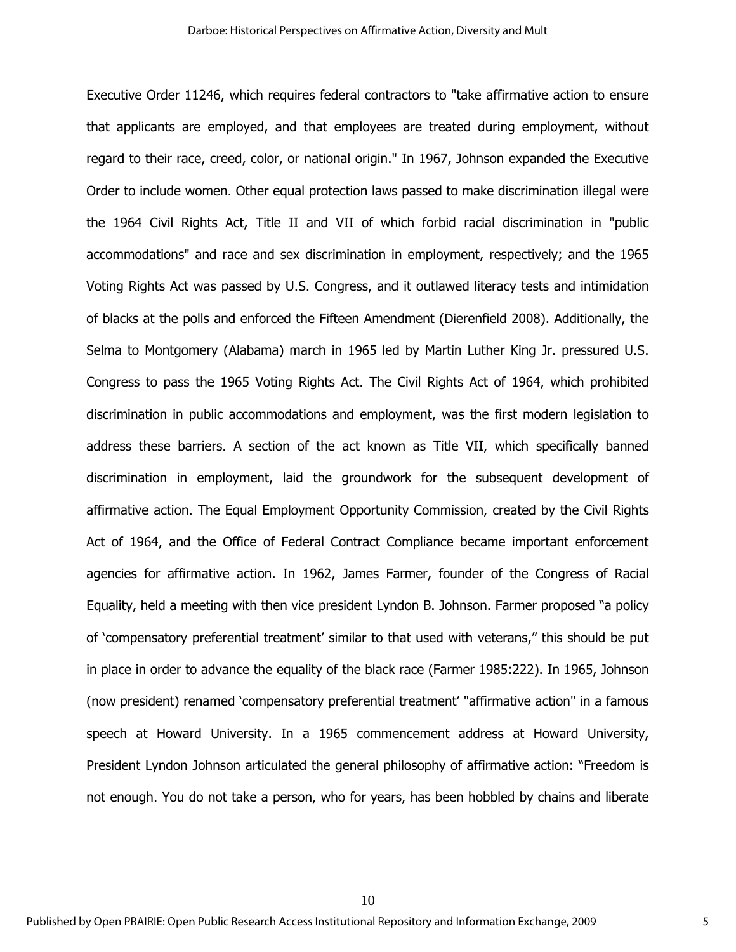Executive Order 11246, which requires federal contractors to "take affirmative action to ensure that applicants are employed, and that employees are treated during employment, without regard to their race, creed, color, or national origin." In 1967, Johnson expanded the Executive Order to include women. Other equal protection laws passed to make discrimination illegal were the 1964 Civil Rights Act, Title II and VII of which forbid racial discrimination in "public accommodations" and race and sex discrimination in employment, respectively; and the 1965 Voting Rights Act was passed by U.S. Congress, and it outlawed literacy tests and intimidation of blacks at the polls and enforced the Fifteen Amendment (Dierenfield 2008). Additionally, the Selma to Montgomery (Alabama) march in 1965 led by Martin Luther King Jr. pressured U.S. Congress to pass the 1965 Voting Rights Act. The Civil Rights Act of 1964, which prohibited discrimination in public accommodations and employment, was the first modern legislation to address these barriers. A section of the act known as Title VII, which specifically banned discrimination in employment, laid the groundwork for the subsequent development of affirmative action. The Equal Employment Opportunity Commission, created by the Civil Rights Act of 1964, and the Office of Federal Contract Compliance became important enforcement agencies for affirmative action. In 1962, James Farmer, founder of the Congress of Racial Equality, held a meeting with then vice president Lyndon B. Johnson. Farmer proposed "a policy of 'compensatory preferential treatment' similar to that used with veterans," this should be put in place in order to advance the equality of the black race (Farmer 1985:222). In 1965, Johnson (now president) renamed 'compensatory preferential treatment' "affirmative action" in a famous speech at Howard University. In a 1965 commencement address at Howard University, President Lyndon Johnson articulated the general philosophy of affirmative action: "Freedom is not enough. You do not take a person, who for years, has been hobbled by chains and liberate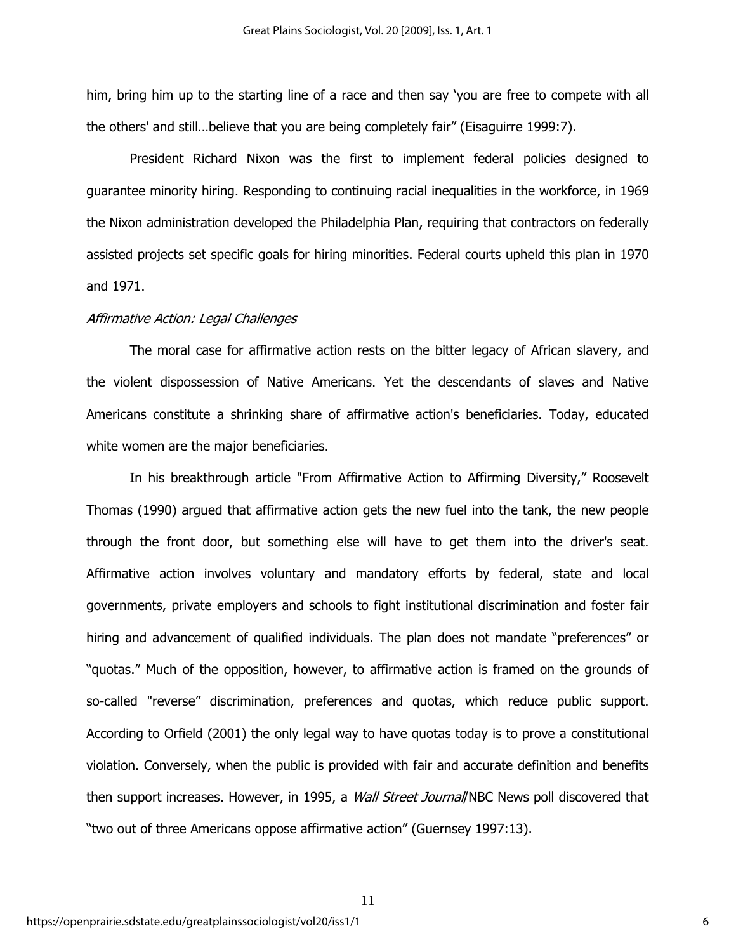him, bring him up to the starting line of a race and then say 'you are free to compete with all the others' and still…believe that you are being completely fair" (Eisaguirre 1999:7).

President Richard Nixon was the first to implement federal policies designed to guarantee minority hiring. Responding to continuing racial inequalities in the workforce, in 1969 the Nixon administration developed the Philadelphia Plan, requiring that contractors on federally assisted projects set specific goals for hiring minorities. Federal courts upheld this plan in 1970 and 1971.

#### Affirmative Action: Legal Challenges

The moral case for affirmative action rests on the bitter legacy of African slavery, and the violent dispossession of Native Americans. Yet the descendants of slaves and Native Americans constitute a shrinking share of affirmative action's beneficiaries. Today, educated white women are the major beneficiaries.

In his breakthrough article "From Affirmative Action to Affirming Diversity," Roosevelt Thomas (1990) argued that affirmative action gets the new fuel into the tank, the new people through the front door, but something else will have to get them into the driver's seat. Affirmative action involves voluntary and mandatory efforts by federal, state and local governments, private employers and schools to fight institutional discrimination and foster fair hiring and advancement of qualified individuals. The plan does not mandate "preferences" or "quotas." Much of the opposition, however, to affirmative action is framed on the grounds of so-called "reverse" discrimination, preferences and quotas, which reduce public support. According to Orfield (2001) the only legal way to have quotas today is to prove a constitutional violation. Conversely, when the public is provided with fair and accurate definition and benefits then support increases. However, in 1995, a *Wall Street Journal*/NBC News poll discovered that "two out of three Americans oppose affirmative action" (Guernsey 1997:13).

11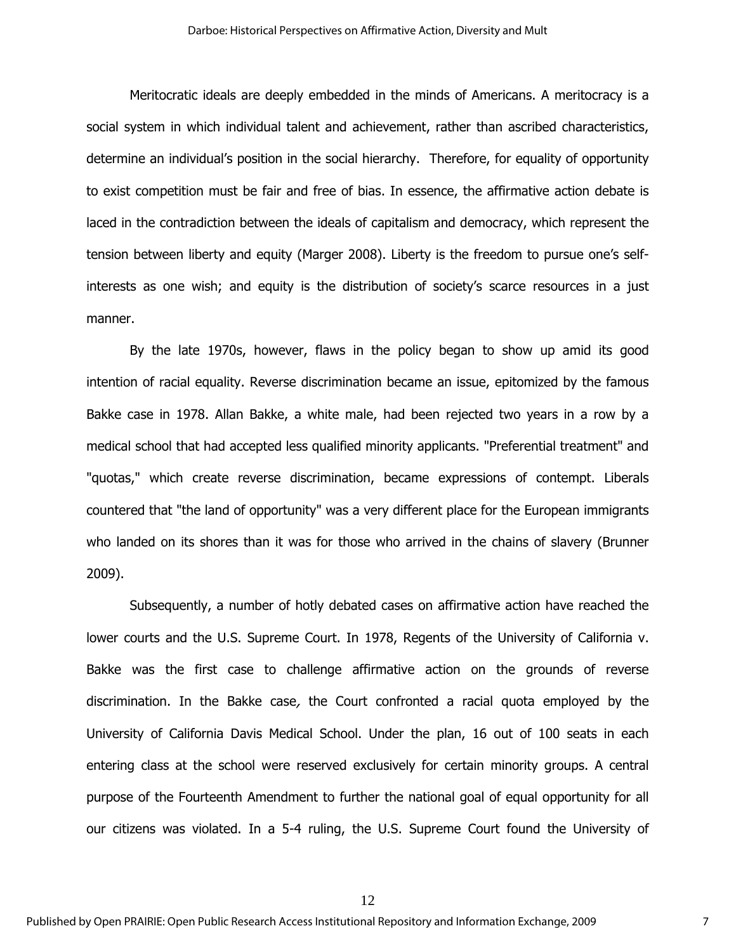Meritocratic ideals are deeply embedded in the minds of Americans. A meritocracy is a social system in which individual talent and achievement, rather than ascribed characteristics, determine an individual's position in the social hierarchy. Therefore, for equality of opportunity to exist competition must be fair and free of bias. In essence, the affirmative action debate is laced in the contradiction between the ideals of capitalism and democracy, which represent the tension between liberty and equity (Marger 2008). Liberty is the freedom to pursue one's selfinterests as one wish; and equity is the distribution of society's scarce resources in a just manner.

By the late 1970s, however, flaws in the policy began to show up amid its good intention of racial equality. Reverse discrimination became an issue, epitomized by the famous Bakke case in 1978. Allan Bakke, a white male, had been rejected two years in a row by a medical school that had accepted less qualified minority applicants. "Preferential treatment" and "quotas," which create reverse discrimination, became expressions of contempt. Liberals countered that "the land of opportunity" was a very different place for the European immigrants who landed on its shores than it was for those who arrived in the chains of slavery (Brunner 2009).

Subsequently, a number of hotly debated cases on affirmative action have reached the lower courts and the U.S. Supreme Court. In 1978, Regents of the University of California v. Bakke was the first case to challenge affirmative action on the grounds of reverse discrimination. In the Bakke case, the Court confronted a racial quota employed by the University of California Davis Medical School. Under the plan, 16 out of 100 seats in each entering class at the school were reserved exclusively for certain minority groups. A central purpose of the Fourteenth Amendment to further the national goal of equal opportunity for all our citizens was violated. In a 5-4 ruling, the U.S. Supreme Court found the University of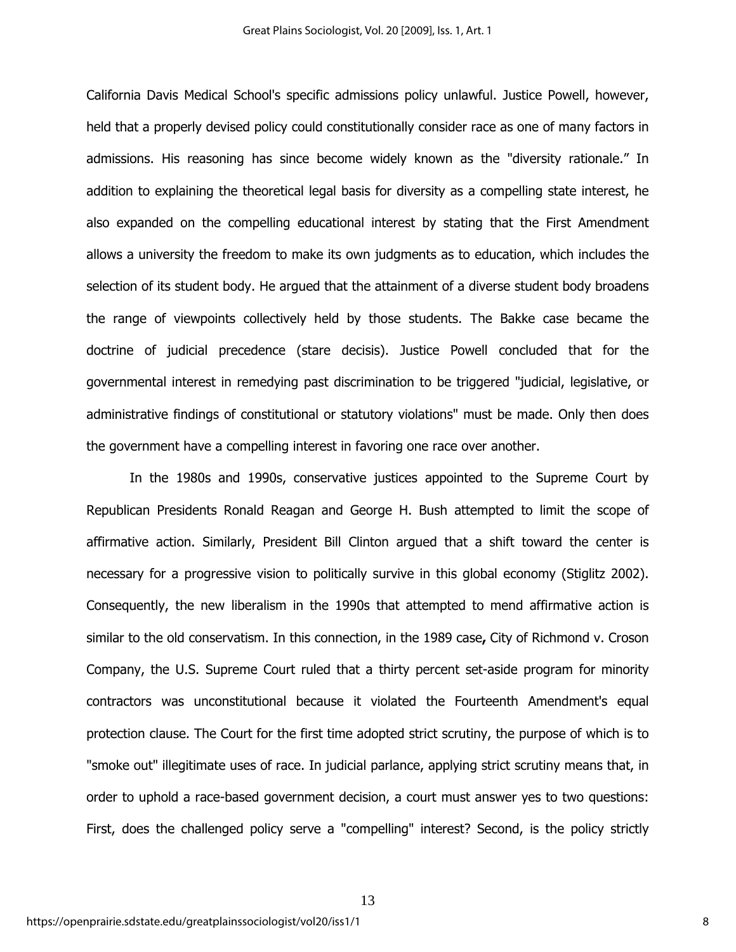California Davis Medical School's specific admissions policy unlawful. Justice Powell, however, held that a properly devised policy could constitutionally consider race as one of many factors in admissions. His reasoning has since become widely known as the "diversity rationale." In addition to explaining the theoretical legal basis for diversity as a compelling state interest, he also expanded on the compelling educational interest by stating that the First Amendment allows a university the freedom to make its own judgments as to education, which includes the selection of its student body. He argued that the attainment of a diverse student body broadens the range of viewpoints collectively held by those students. The Bakke case became the doctrine of judicial precedence (stare decisis). Justice Powell concluded that for the governmental interest in remedying past discrimination to be triggered "judicial, legislative, or administrative findings of constitutional or statutory violations" must be made. Only then does the government have a compelling interest in favoring one race over another.

In the 1980s and 1990s, conservative justices appointed to the Supreme Court by Republican Presidents Ronald Reagan and George H. Bush attempted to limit the scope of affirmative action. Similarly, President Bill Clinton argued that a shift toward the center is necessary for a progressive vision to politically survive in this global economy (Stiglitz 2002). Consequently, the new liberalism in the 1990s that attempted to mend affirmative action is similar to the old conservatism. In this connection, in the 1989 case**,** City of Richmond v. Croson Company, the U.S. Supreme Court ruled that a thirty percent set-aside program for minority contractors was unconstitutional because it violated the Fourteenth Amendment's equal protection clause. The Court for the first time adopted strict scrutiny, the purpose of which is to "smoke out" illegitimate uses of race. In judicial parlance, applying strict scrutiny means that, in order to uphold a race-based government decision, a court must answer yes to two questions: First, does the challenged policy serve a "compelling" interest? Second, is the policy strictly

13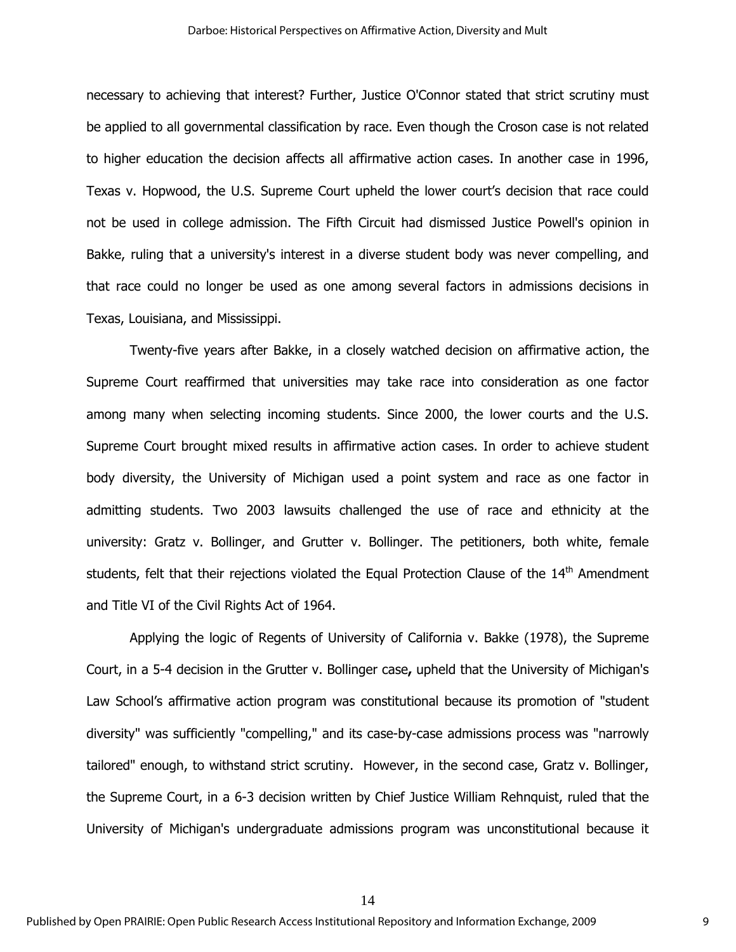necessary to achieving that interest? Further, Justice O'Connor stated that strict scrutiny must be applied to all governmental classification by race. Even though the Croson case is not related to higher education the decision affects all affirmative action cases. In another case in 1996, Texas v. Hopwood, the U.S. Supreme Court upheld the lower court's decision that race could not be used in college admission. The Fifth Circuit had dismissed Justice Powell's opinion in Bakke, ruling that a university's interest in a diverse student body was never compelling, and that race could no longer be used as one among several factors in admissions decisions in Texas, Louisiana, and Mississippi.

Twenty-five years after Bakke, in a closely watched decision on affirmative action, the Supreme Court reaffirmed that universities may take race into consideration as one factor among many when selecting incoming students. Since 2000, the lower courts and the U.S. Supreme Court brought mixed results in affirmative action cases. In order to achieve student body diversity, the University of Michigan used a point system and race as one factor in admitting students. Two 2003 lawsuits challenged the use of race and ethnicity at the university: Gratz v. Bollinger, and Grutter v. Bollinger. The petitioners, both white, female students, felt that their rejections violated the Equal Protection Clause of the 14<sup>th</sup> Amendment and Title VI of the Civil Rights Act of 1964.

Applying the logic of Regents of University of California v. Bakke (1978), the Supreme Court, in a 5-4 decision in the Grutter v. Bollinger case**,** upheld that the University of Michigan's Law School's affirmative action program was constitutional because its promotion of "student diversity" was sufficiently "compelling," and its case-by-case admissions process was "narrowly tailored" enough, to withstand strict scrutiny. However, in the second case, Gratz v. Bollinger, the Supreme Court, in a 6-3 decision written by Chief Justice William Rehnquist, ruled that the University of Michigan's undergraduate admissions program was unconstitutional because it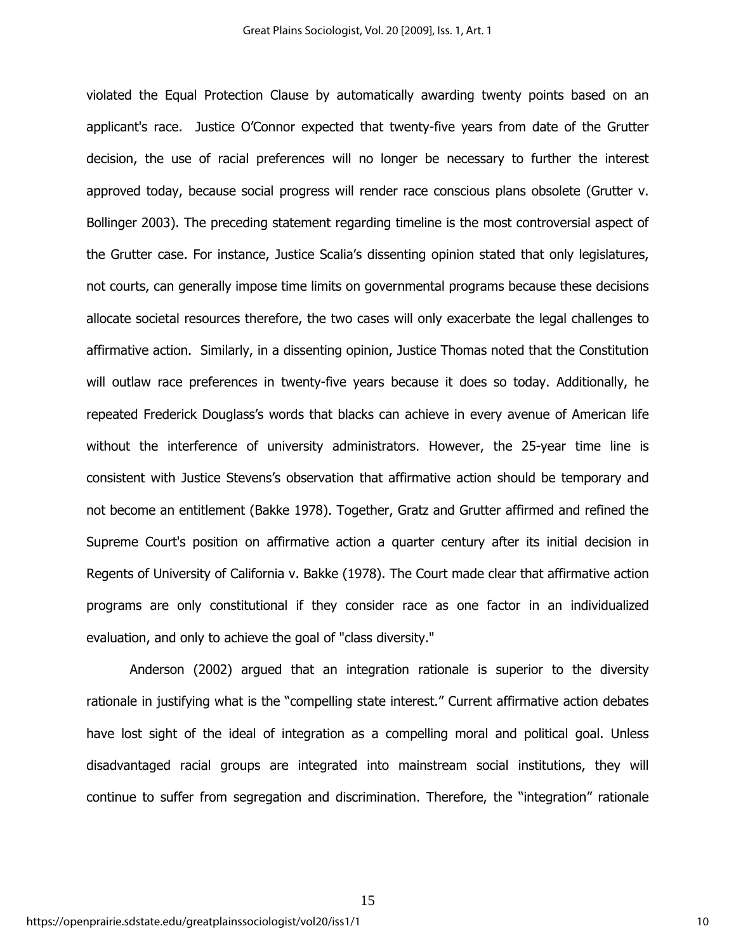violated the Equal Protection Clause by automatically awarding twenty points based on an applicant's race. Justice O'Connor expected that twenty-five years from date of the Grutter decision, the use of racial preferences will no longer be necessary to further the interest approved today, because social progress will render race conscious plans obsolete (Grutter v. Bollinger 2003). The preceding statement regarding timeline is the most controversial aspect of the Grutter case. For instance, Justice Scalia's dissenting opinion stated that only legislatures, not courts, can generally impose time limits on governmental programs because these decisions allocate societal resources therefore, the two cases will only exacerbate the legal challenges to affirmative action. Similarly, in a dissenting opinion, Justice Thomas noted that the Constitution will outlaw race preferences in twenty-five years because it does so today. Additionally, he repeated Frederick Douglass's words that blacks can achieve in every avenue of American life without the interference of university administrators. However, the 25-year time line is consistent with Justice Stevens's observation that affirmative action should be temporary and not become an entitlement (Bakke 1978). Together, Gratz and Grutter affirmed and refined the Supreme Court's position on affirmative action a quarter century after its initial decision in Regents of University of California v. Bakke (1978). The Court made clear that affirmative action programs are only constitutional if they consider race as one factor in an individualized evaluation, and only to achieve the goal of "class diversity."

Anderson (2002) argued that an integration rationale is superior to the diversity rationale in justifying what is the "compelling state interest." Current affirmative action debates have lost sight of the ideal of integration as a compelling moral and political goal. Unless disadvantaged racial groups are integrated into mainstream social institutions, they will continue to suffer from segregation and discrimination. Therefore, the "integration" rationale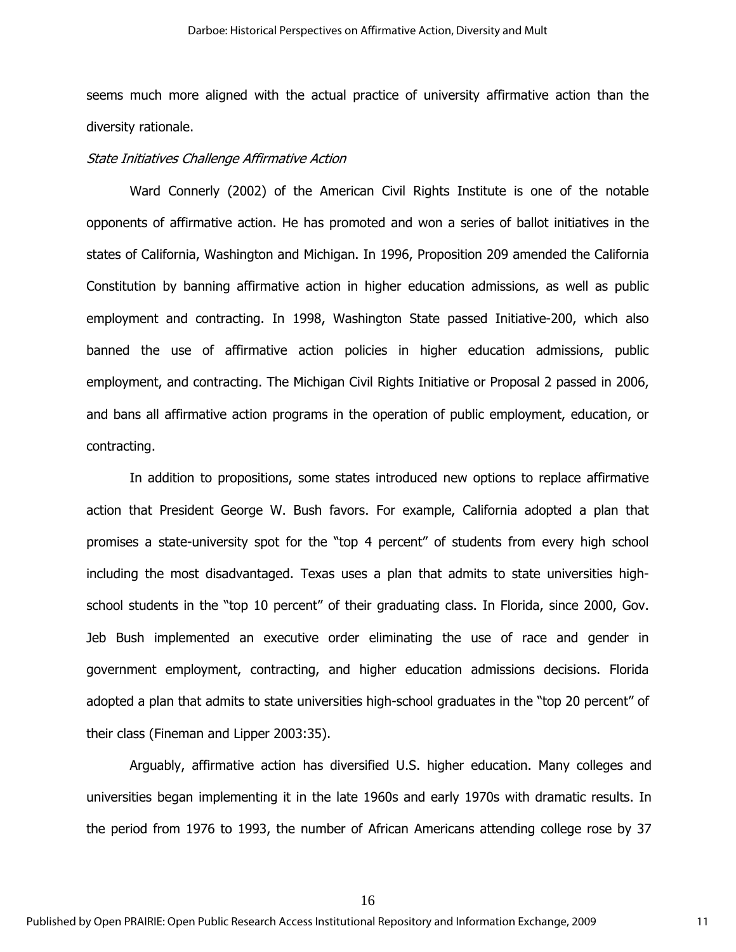seems much more aligned with the actual practice of university affirmative action than the diversity rationale.

#### State Initiatives Challenge Affirmative Action

Ward Connerly (2002) of the American Civil Rights Institute is one of the notable opponents of affirmative action. He has promoted and won a series of ballot initiatives in the states of California, Washington and Michigan. In 1996, Proposition 209 amended the California Constitution by banning affirmative action in higher education admissions, as well as public employment and contracting. In 1998, Washington State passed Initiative-200, which also banned the use of affirmative action policies in higher education admissions, public employment, and contracting. The Michigan Civil Rights Initiative or Proposal 2 passed in 2006, and bans all affirmative action programs in the operation of public employment, education, or contracting.

In addition to propositions, some states introduced new options to replace affirmative action that President George W. Bush favors. For example, California adopted a plan that promises a state-university spot for the "top 4 percent" of students from every high school including the most disadvantaged. Texas uses a plan that admits to state universities highschool students in the "top 10 percent" of their graduating class. In Florida, since 2000, Gov. Jeb Bush implemented an executive order eliminating the use of race and gender in government employment, contracting, and higher education admissions decisions. Florida adopted a plan that admits to state universities high-school graduates in the "top 20 percent" of their class (Fineman and Lipper 2003:35).

Arguably, affirmative action has diversified U.S. higher education. Many colleges and universities began implementing it in the late 1960s and early 1970s with dramatic results. In the period from 1976 to 1993, the number of African Americans attending college rose by 37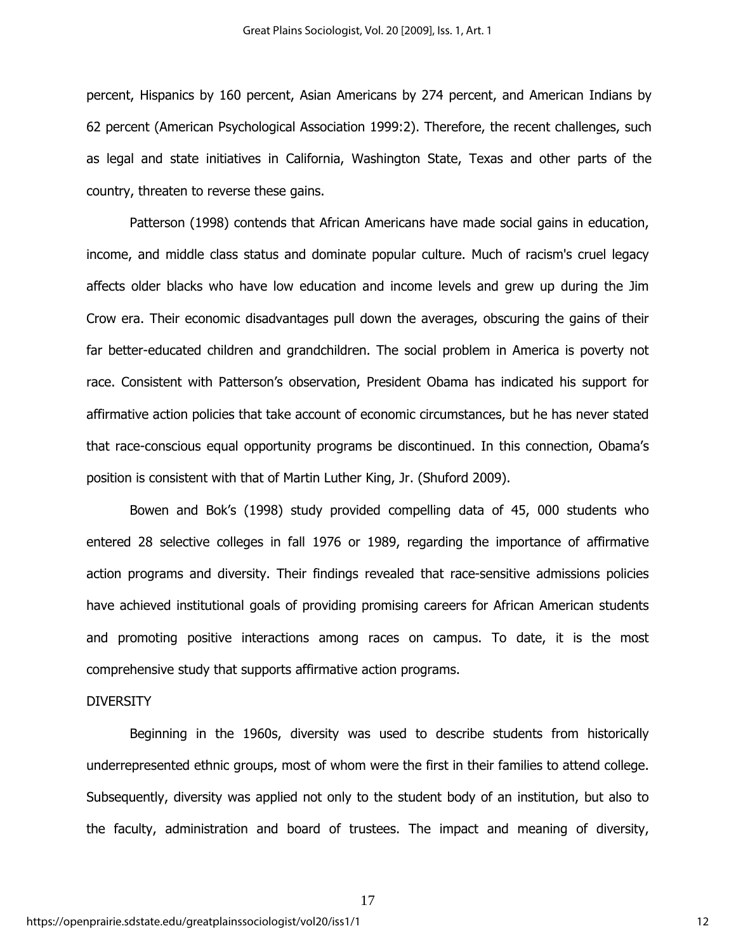percent, Hispanics by 160 percent, Asian Americans by 274 percent, and American Indians by 62 percent (American Psychological Association 1999:2). Therefore, the recent challenges, such as legal and state initiatives in California, Washington State, Texas and other parts of the country, threaten to reverse these gains.

Patterson (1998) contends that African Americans have made social gains in education, income, and middle class status and dominate popular culture. Much of racism's cruel legacy affects older blacks who have low education and income levels and grew up during the Jim Crow era. Their economic disadvantages pull down the averages, obscuring the gains of their far better-educated children and grandchildren. The social problem in America is poverty not race. Consistent with Patterson's observation, President Obama has indicated his support for affirmative action policies that take account of economic circumstances, but he has never stated that race-conscious equal opportunity programs be discontinued. In this connection, Obama's position is consistent with that of Martin Luther King, Jr. (Shuford 2009).

Bowen and Bok's (1998) study provided compelling data of 45, 000 students who entered 28 selective colleges in fall 1976 or 1989, regarding the importance of affirmative action programs and diversity. Their findings revealed that race-sensitive admissions policies have achieved institutional goals of providing promising careers for African American students and promoting positive interactions among races on campus. To date, it is the most comprehensive study that supports affirmative action programs.

#### **DIVERSITY**

Beginning in the 1960s, diversity was used to describe students from historically underrepresented ethnic groups, most of whom were the first in their families to attend college. Subsequently, diversity was applied not only to the student body of an institution, but also to the faculty, administration and board of trustees. The impact and meaning of diversity,

17

https://openprairie.sdstate.edu/greatplainssociologist/vol20/iss1/1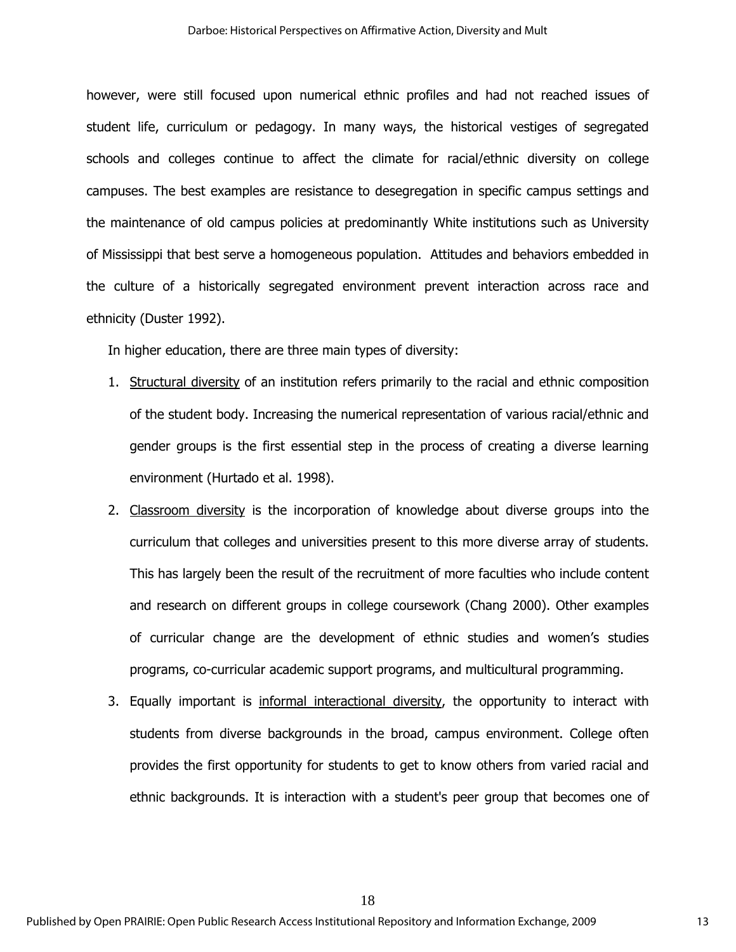however, were still focused upon numerical ethnic profiles and had not reached issues of student life, curriculum or pedagogy. In many ways, the historical vestiges of segregated schools and colleges continue to affect the climate for racial/ethnic diversity on college campuses. The best examples are resistance to desegregation in specific campus settings and the maintenance of old campus policies at predominantly White institutions such as University of Mississippi that best serve a homogeneous population. Attitudes and behaviors embedded in the culture of a historically segregated environment prevent interaction across race and ethnicity (Duster 1992).

In higher education, there are three main types of diversity:

- 1. Structural diversity of an institution refers primarily to the racial and ethnic composition of the student body. Increasing the numerical representation of various racial/ethnic and gender groups is the first essential step in the process of creating a diverse learning environment (Hurtado et al. 1998).
- 2. Classroom diversity is the incorporation of knowledge about diverse groups into the curriculum that colleges and universities present to this more diverse array of students. This has largely been the result of the recruitment of more faculties who include content and research on different groups in college coursework (Chang 2000). Other examples of curricular change are the development of ethnic studies and women's studies programs, co-curricular academic support programs, and multicultural programming.
- 3. Equally important is informal interactional diversity, the opportunity to interact with students from diverse backgrounds in the broad, campus environment. College often provides the first opportunity for students to get to know others from varied racial and ethnic backgrounds. It is interaction with a student's peer group that becomes one of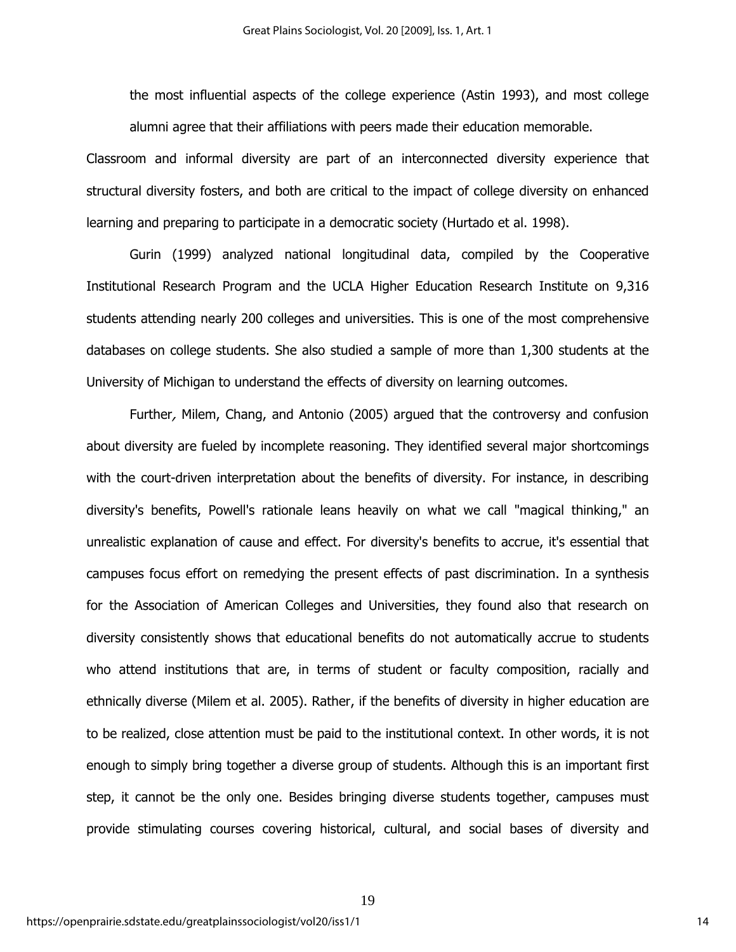the most influential aspects of the college experience (Astin 1993), and most college alumni agree that their affiliations with peers made their education memorable.

Classroom and informal diversity are part of an interconnected diversity experience that structural diversity fosters, and both are critical to the impact of college diversity on enhanced learning and preparing to participate in a democratic society (Hurtado et al. 1998).

Gurin (1999) analyzed national longitudinal data, compiled by the Cooperative Institutional Research Program and the UCLA Higher Education Research Institute on 9,316 students attending nearly 200 colleges and universities. This is one of the most comprehensive databases on college students. She also studied a sample of more than 1,300 students at the University of Michigan to understand the effects of diversity on learning outcomes.

Further, Milem, Chang, and Antonio (2005) argued that the controversy and confusion about diversity are fueled by incomplete reasoning. They identified several major shortcomings with the court-driven interpretation about the benefits of diversity. For instance, in describing diversity's benefits, Powell's rationale leans heavily on what we call "magical thinking," an unrealistic explanation of cause and effect. For diversity's benefits to accrue, it's essential that campuses focus effort on remedying the present effects of past discrimination. In a synthesis for the Association of American Colleges and Universities, they found also that research on diversity consistently shows that educational benefits do not automatically accrue to students who attend institutions that are, in terms of student or faculty composition, racially and ethnically diverse (Milem et al. 2005). Rather, if the benefits of diversity in higher education are to be realized, close attention must be paid to the institutional context. In other words, it is not enough to simply bring together a diverse group of students. Although this is an important first step, it cannot be the only one. Besides bringing diverse students together, campuses must provide stimulating courses covering historical, cultural, and social bases of diversity and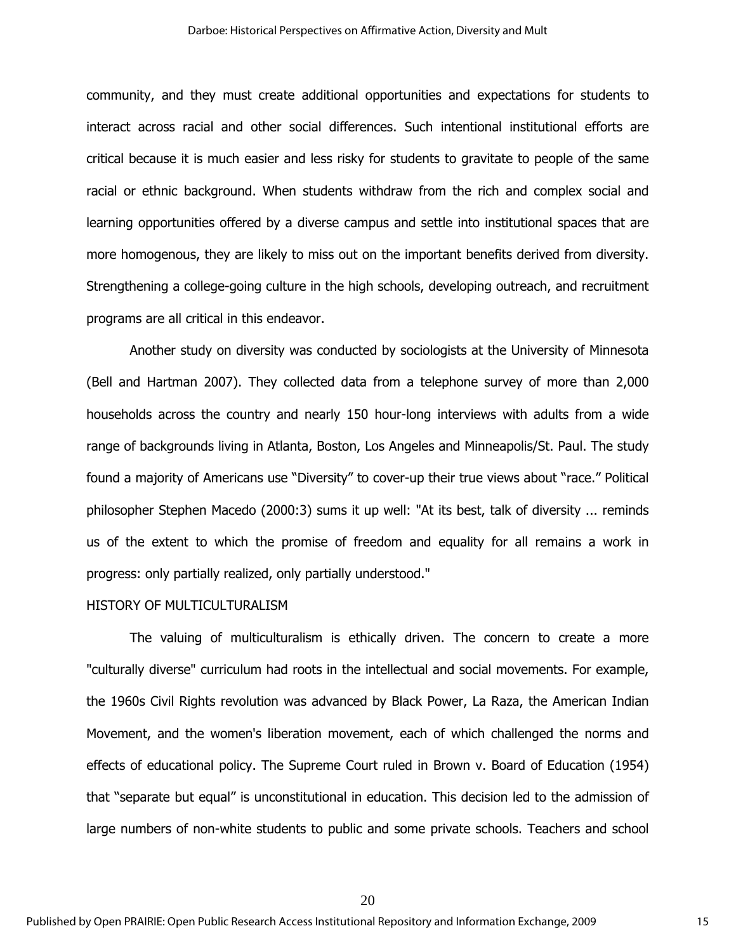community, and they must create additional opportunities and expectations for students to interact across racial and other social differences. Such intentional institutional efforts are critical because it is much easier and less risky for students to gravitate to people of the same racial or ethnic background. When students withdraw from the rich and complex social and learning opportunities offered by a diverse campus and settle into institutional spaces that are more homogenous, they are likely to miss out on the important benefits derived from diversity. Strengthening a college-going culture in the high schools, developing outreach, and recruitment programs are all critical in this endeavor.

Another study on diversity was conducted by sociologists at the University of Minnesota (Bell and Hartman 2007). They collected data from a telephone survey of more than 2,000 households across the country and nearly 150 hour-long interviews with adults from a wide range of backgrounds living in Atlanta, Boston, Los Angeles and Minneapolis/St. Paul. The study found a majority of Americans use "Diversity" to cover-up their true views about "race." Political philosopher Stephen Macedo (2000:3) sums it up well: "At its best, talk of diversity ... reminds us of the extent to which the promise of freedom and equality for all remains a work in progress: only partially realized, only partially understood."

#### HISTORY OF MULTICULTURALISM

The valuing of multiculturalism is ethically driven. The concern to create a more "culturally diverse" curriculum had roots in the intellectual and social movements. For example, the 1960s Civil Rights revolution was advanced by Black Power, La Raza, the American Indian Movement, and the women's liberation movement, each of which challenged the norms and effects of educational policy. The Supreme Court ruled in Brown v. Board of Education (1954) that "separate but equal" is unconstitutional in education. This decision led to the admission of large numbers of non-white students to public and some private schools. Teachers and school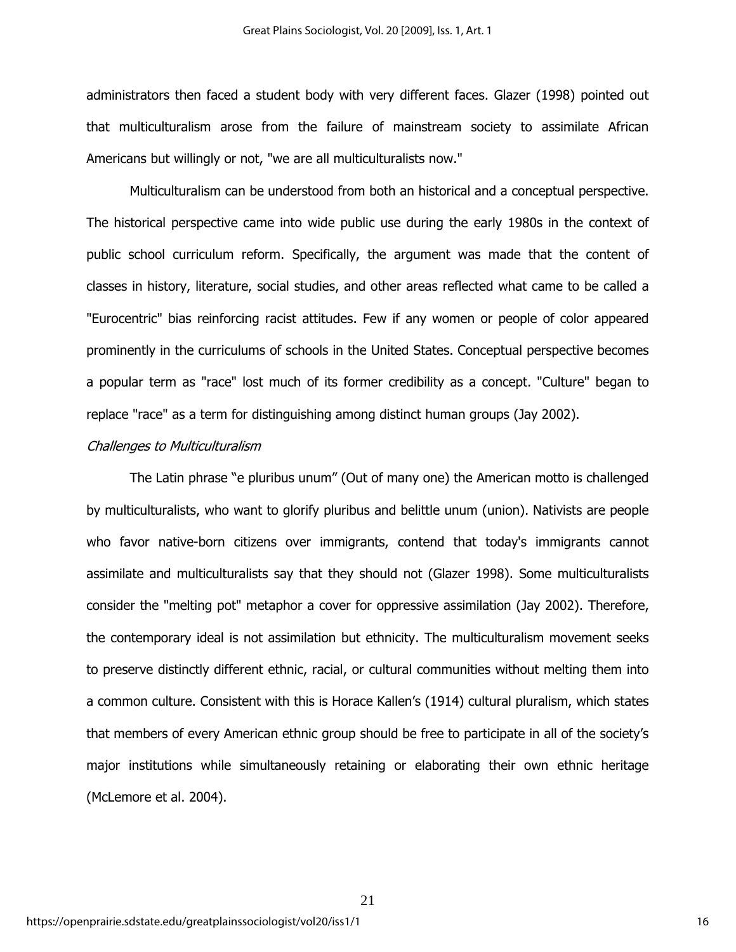administrators then faced a student body with very different faces. Glazer (1998) pointed out that multiculturalism arose from the failure of mainstream society to assimilate African Americans but willingly or not, "we are all multiculturalists now."

Multiculturalism can be understood from both an historical and a conceptual perspective. The historical perspective came into wide public use during the early 1980s in the context of public school curriculum reform. Specifically, the argument was made that the content of classes in history, literature, social studies, and other areas reflected what came to be called a "Eurocentric" bias reinforcing racist attitudes. Few if any women or people of color appeared prominently in the curriculums of schools in the United States. Conceptual perspective becomes a popular term as "race" lost much of its former credibility as a concept. "Culture" began to replace "race" as a term for distinguishing among distinct human groups (Jay 2002).

#### Challenges to Multiculturalism

The Latin phrase "e pluribus unum" (Out of many one) the American motto is challenged by multiculturalists, who want to glorify pluribus and belittle unum (union). Nativists are people who favor native-born citizens over immigrants, contend that today's immigrants cannot assimilate and multiculturalists say that they should not (Glazer 1998). Some multiculturalists consider the "melting pot" metaphor a cover for oppressive assimilation (Jay 2002). Therefore, the contemporary ideal is not assimilation but ethnicity. The multiculturalism movement seeks to preserve distinctly different ethnic, racial, or cultural communities without melting them into a common culture. Consistent with this is Horace Kallen's (1914) cultural pluralism, which states that members of every American ethnic group should be free to participate in all of the society's major institutions while simultaneously retaining or elaborating their own ethnic heritage (McLemore et al. 2004).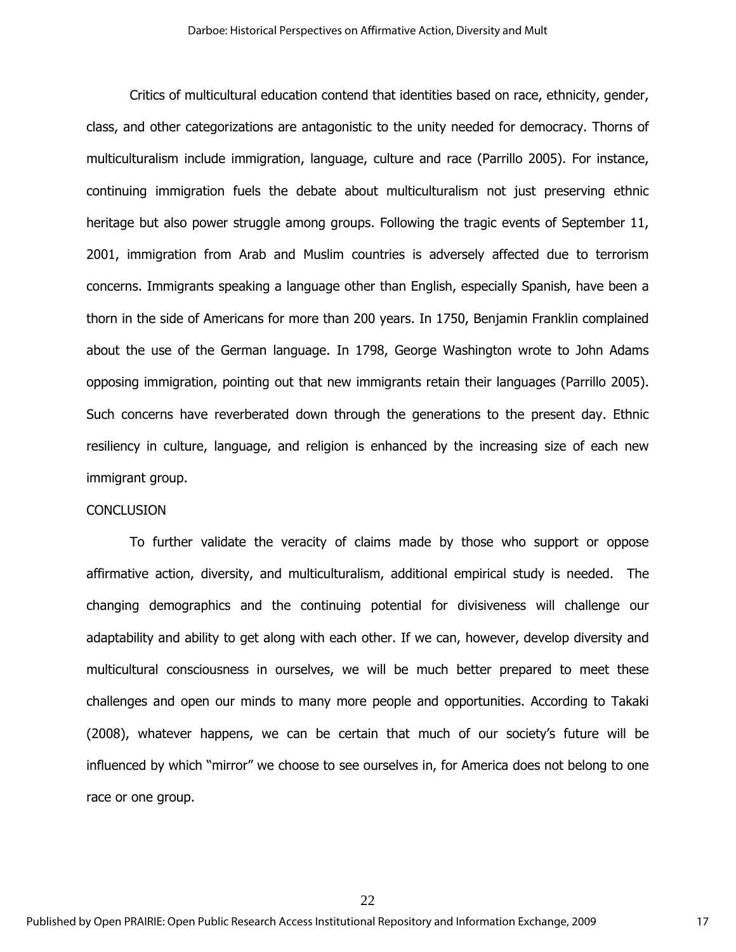Critics of multicultural education contend that identities based on race, ethnicity, gender, class, and other categorizations are antagonistic to the unity needed for democracy. Thorns of multiculturalism include immigration, language, culture and race (Parrillo 2005). For instance, continuing immigration fuels the debate about multiculturalism not just preserving ethnic heritage but also power struggle among groups. Following the tragic events of September 11, 2001, immigration from Arab and Muslim countries is adversely affected due to terrorism concerns. Immigrants speaking a language other than English, especially Spanish, have been a thorn in the side of Americans for more than 200 years. In 1750, Benjamin Franklin complained about the use of the German language. In 1798, George Washington wrote to John Adams opposing immigration, pointing out that new immigrants retain their languages (Parrillo 2005). Such concerns have reverberated down through the generations to the present day. Ethnic resiliency in culture, language, and religion is enhanced by the increasing size of each new immigrant group.

#### **CONCLUSION**

To further validate the veracity of claims made by those who support or oppose affirmative action, diversity, and multiculturalism, additional empirical study is needed. The changing demographics and the continuing potential for divisiveness will challenge our adaptability and ability to get along with each other. If we can, however, develop diversity and multicultural consciousness in ourselves, we will be much better prepared to meet these challenges and open our minds to many more people and opportunities. According to Takaki (2008), whatever happens, we can be certain that much of our society's future will be influenced by which "mirror" we choose to see ourselves in, for America does not belong to one race or one group.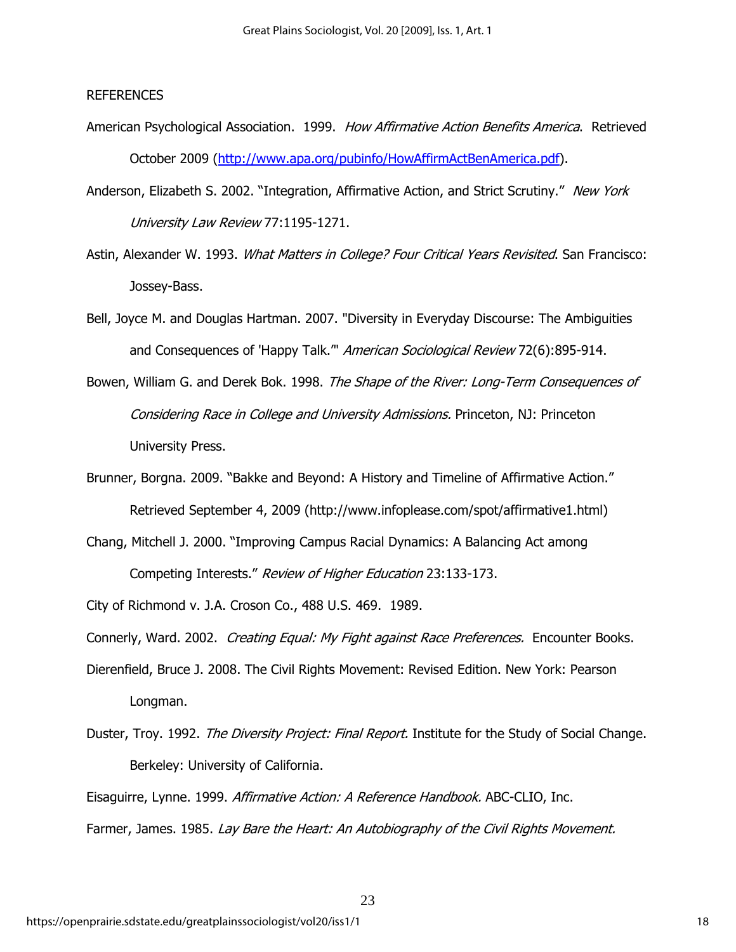#### REFERENCES

- American Psychological Association. 1999. How Affirmative Action Benefits America. Retrieved October 2009 (http://www.apa.org/pubinfo/HowAffirmActBenAmerica.pdf).
- Anderson, Elizabeth S. 2002. "Integration, Affirmative Action, and Strict Scrutiny." New York University Law Review 77:1195-1271.
- Astin, Alexander W. 1993. What Matters in College? Four Critical Years Revisited. San Francisco: Jossey-Bass.
- Bell, Joyce M. and Douglas Hartman. 2007. "Diversity in Everyday Discourse: The Ambiguities and Consequences of 'Happy Talk." American Sociological Review 72(6):895-914.
- Bowen, William G. and Derek Bok. 1998. The Shape of the River: Long-Term Consequences of Considering Race in College and University Admissions. Princeton, NJ: Princeton University Press.
- Brunner, Borgna. 2009. "Bakke and Beyond: A History and Timeline of Affirmative Action." Retrieved September 4, 2009 (http://www.infoplease.com/spot/affirmative1.html)
- Chang, Mitchell J. 2000. "Improving Campus Racial Dynamics: A Balancing Act among Competing Interests." Review of Higher Education 23:133-173.

City of Richmond v. J.A. Croson Co., 488 U.S. 469. 1989.

Connerly, Ward. 2002. *Creating Equal: My Fight against Race Preferences.* Encounter Books.

- Dierenfield, Bruce J. 2008. The Civil Rights Movement: Revised Edition. New York: Pearson Longman.
- Duster, Troy. 1992. The Diversity Project: Final Report. Institute for the Study of Social Change. Berkeley: University of California.

Eisaguirre, Lynne. 1999. Affirmative Action: A Reference Handbook. ABC-CLIO, Inc. Farmer, James. 1985. Lay Bare the Heart: An Autobiography of the Civil Rights Movement.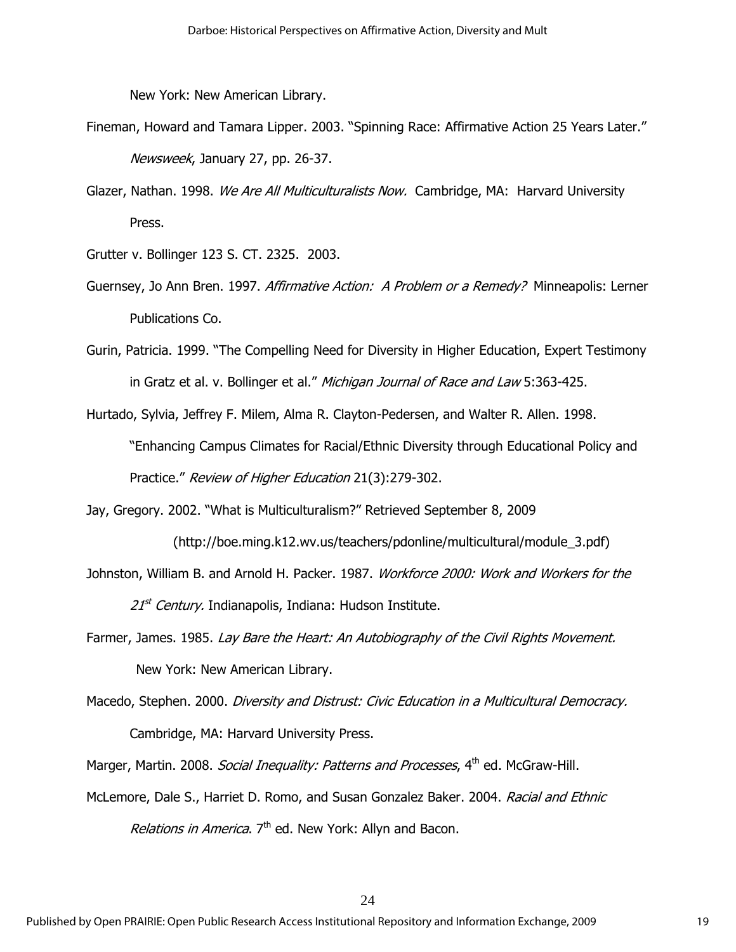New York: New American Library.

- Fineman, Howard and Tamara Lipper. 2003. "Spinning Race: Affirmative Action 25 Years Later." Newsweek, January 27, pp. 26-37.
- Glazer, Nathan. 1998. We Are All Multiculturalists Now. Cambridge, MA: Harvard University Press.

Grutter v. Bollinger 123 S. CT. 2325. 2003.

- Guernsey, Jo Ann Bren. 1997. Affirmative Action: A Problem or a Remedy? Minneapolis: Lerner Publications Co.
- Gurin, Patricia. 1999. "The Compelling Need for Diversity in Higher Education, Expert Testimony in Gratz et al. v. Bollinger et al." Michigan Journal of Race and Law 5:363-425.
- Hurtado, Sylvia, Jeffrey F. Milem, Alma R. Clayton-Pedersen, and Walter R. Allen. 1998. "Enhancing Campus Climates for Racial/Ethnic Diversity through Educational Policy and Practice." Review of Higher Education 21(3):279-302.

Jay, Gregory. 2002. "What is Multiculturalism?" Retrieved September 8, 2009

- (http://boe.ming.k12.wv.us/teachers/pdonline/multicultural/module\_3.pdf)
- Johnston, William B. and Arnold H. Packer. 1987. Workforce 2000: Work and Workers for the  $21<sup>st</sup>$  Century. Indianapolis, Indiana: Hudson Institute.
- Farmer, James. 1985. Lay Bare the Heart: An Autobiography of the Civil Rights Movement. New York: New American Library.
- Macedo, Stephen. 2000. Diversity and Distrust: Civic Education in a Multicultural Democracy. Cambridge, MA: Harvard University Press.

Marger, Martin. 2008. *Social Inequality: Patterns and Processes*, 4<sup>th</sup> ed. McGraw-Hill.

McLemore, Dale S., Harriet D. Romo, and Susan Gonzalez Baker. 2004. Racial and Ethnic Relations in America.  $7<sup>th</sup>$  ed. New York: Allyn and Bacon.